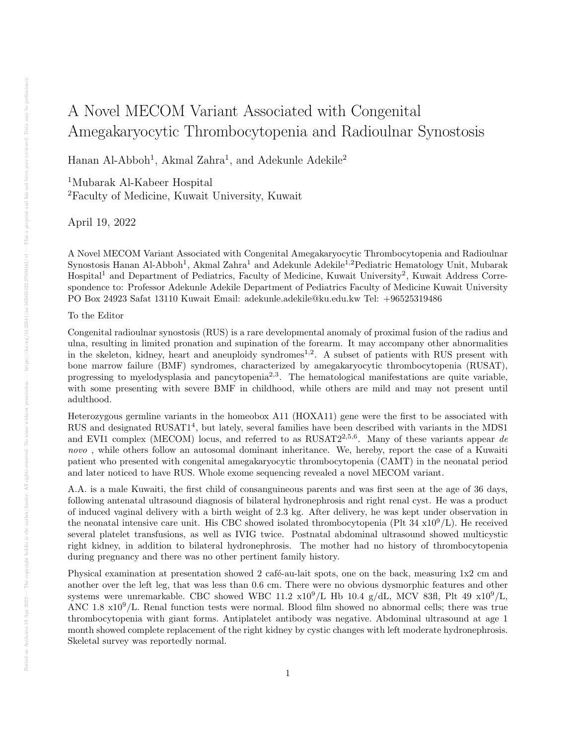## A Novel MECOM Variant Associated with Congenital Amegakaryocytic Thrombocytopenia and Radioulnar Synostosis

Hanan Al-Abboh<sup>1</sup>, Akmal Zahra<sup>1</sup>, and Adekunle Adekile<sup>2</sup>

<sup>1</sup>Mubarak Al-Kabeer Hospital <sup>2</sup>Faculty of Medicine, Kuwait University, Kuwait

April 19, 2022

A Novel MECOM Variant Associated with Congenital Amegakaryocytic Thrombocytopenia and Radioulnar Synostosis Hanan Al-Abboh<sup>1</sup>, Akmal Zahra<sup>1</sup> and Adekunle Adekile<sup>1,2</sup> Pediatric Hematology Unit, Mubarak Hospital<sup>1</sup> and Department of Pediatrics, Faculty of Medicine, Kuwait University<sup>2</sup>, Kuwait Address Correspondence to: Professor Adekunle Adekile Department of Pediatrics Faculty of Medicine Kuwait University PO Box 24923 Safat 13110 Kuwait Email: adekunle.adekile@ku.edu.kw Tel: +96525319486

## To the Editor

Congenital radioulnar synostosis (RUS) is a rare developmental anomaly of proximal fusion of the radius and ulna, resulting in limited pronation and supination of the forearm. It may accompany other abnormalities in the skeleton, kidney, heart and aneuploidy syndromes<sup>1,2</sup>. A subset of patients with RUS present with bone marrow failure (BMF) syndromes, characterized by amegakaryocytic thrombocytopenia (RUSAT), progressing to myelodysplasia and pancytopenia<sup>2,3</sup>. The hematological manifestations are quite variable, with some presenting with severe BMF in childhood, while others are mild and may not present until adulthood.

Heterozygous germline variants in the homeobox A11 (HOXA11) gene were the first to be associated with RUS and designated RUSAT1<sup>4</sup>, but lately, several families have been described with variants in the MDS1 and EVI1 complex (MECOM) locus, and referred to as  $RUSAT2^{2,5,6}$ . Many of these variants appear de novo, while others follow an autosomal dominant inheritance. We, hereby, report the case of a Kuwaiti patient who presented with congenital amegakaryocytic thrombocytopenia (CAMT) in the neonatal period and later noticed to have RUS. Whole exome sequencing revealed a novel MECOM variant.

A.A. is a male Kuwaiti, the first child of consanguineous parents and was first seen at the age of 36 days, following antenatal ultrasound diagnosis of bilateral hydronephrosis and right renal cyst. He was a product of induced vaginal delivery with a birth weight of 2.3 kg. After delivery, he was kept under observation in the neonatal intensive care unit. His CBC showed isolated thrombocytopenia (Plt  $34 \times 10^9$ /L). He received several platelet transfusions, as well as IVIG twice. Postnatal abdominal ultrasound showed multicystic right kidney, in addition to bilateral hydronephrosis. The mother had no history of thrombocytopenia during pregnancy and there was no other pertinent family history.

Physical examination at presentation showed 2 café-au-lait spots, one on the back, measuring 1x2 cm and another over the left leg, that was less than 0.6 cm. There were no obvious dysmorphic features and other systems were unremarkable. CBC showed WBC 11.2  $x10^9/L$  Hb 10.4 g/dL, MCV 83fl, Plt 49  $x10^9/L$ , ANC 1.8  $\times 10^{9}$ /L. Renal function tests were normal. Blood film showed no abnormal cells; there was true thrombocytopenia with giant forms. Antiplatelet antibody was negative. Abdominal ultrasound at age 1 month showed complete replacement of the right kidney by cystic changes with left moderate hydronephrosis. Skeletal survey was reportedly normal.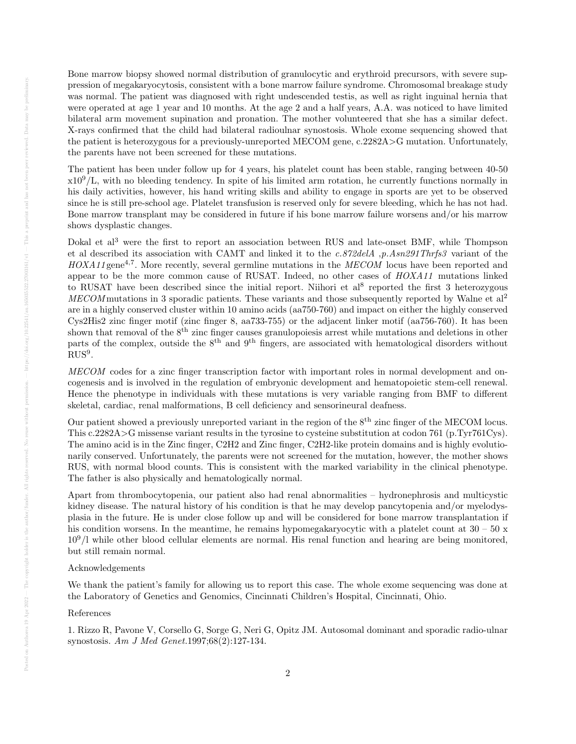Bone marrow biopsy showed normal distribution of granulocytic and erythroid precursors, with severe suppression of megakaryocytosis, consistent with a bone marrow failure syndrome. Chromosomal breakage study was normal. The patient was diagnosed with right undescended testis, as well as right inguinal hernia that were operated at age 1 year and 10 months. At the age 2 and a half years, A.A. was noticed to have limited bilateral arm movement supination and pronation. The mother volunteered that she has a similar defect. X-rays confirmed that the child had bilateral radioulnar synostosis. Whole exome sequencing showed that the patient is heterozygous for a previously-unreported MECOM gene, c.2282A>G mutation. Unfortunately, the parents have not been screened for these mutations.

The patient has been under follow up for 4 years, his platelet count has been stable, ranging between 40-50  $x10<sup>9</sup>/L$ , with no bleeding tendency. In spite of his limited arm rotation, he currently functions normally in his daily activities, however, his hand writing skills and ability to engage in sports are yet to be observed since he is still pre-school age. Platelet transfusion is reserved only for severe bleeding, which he has not had. Bone marrow transplant may be considered in future if his bone marrow failure worsens and/or his marrow shows dysplastic changes.

Dokal et al<sup>3</sup> were the first to report an association between RUS and late-onset BMF, while Thompson et al described its association with CAMT and linked it to the c.872delA ,p.Asn291Thrfs3 variant of the  $HOXA11$  gene<sup>4,7</sup>. More recently, several germline mutations in the  $MECOM$  locus have been reported and appear to be the more common cause of RUSAT. Indeed, no other cases of HOXA11 mutations linked to RUSAT have been described since the initial report. Niihori et al<sup>8</sup> reported the first 3 heterozygous MECOM mutations in 3 sporadic patients. These variants and those subsequently reported by Walne et  $al^2$ are in a highly conserved cluster within 10 amino acids (aa750-760) and impact on either the highly conserved Cys2His2 zinc finger motif (zinc finger 8, aa733-755) or the adjacent linker motif (aa756-760). It has been shown that removal of the  $8<sup>th</sup>$  zinc finger causes granulopoiesis arrest while mutations and deletions in other parts of the complex, outside the  $8^{th}$  and  $9^{th}$  fingers, are associated with hematological disorders without  $RUS<sup>9</sup>$ .

MECOM codes for a zinc finger transcription factor with important roles in normal development and oncogenesis and is involved in the regulation of embryonic development and hematopoietic stem-cell renewal. Hence the phenotype in individuals with these mutations is very variable ranging from BMF to different skeletal, cardiac, renal malformations, B cell deficiency and sensorineural deafness.

Our patient showed a previously unreported variant in the region of the 8<sup>th</sup> zinc finger of the MECOM locus. This c.2282A>G missense variant results in the tyrosine to cysteine substitution at codon 761 (p.Tyr761Cys). The amino acid is in the Zinc finger, C2H2 and Zinc finger, C2H2-like protein domains and is highly evolutionarily conserved. Unfortunately, the parents were not screened for the mutation, however, the mother shows RUS, with normal blood counts. This is consistent with the marked variability in the clinical phenotype. The father is also physically and hematologically normal.

Apart from thrombocytopenia, our patient also had renal abnormalities – hydronephrosis and multicystic kidney disease. The natural history of his condition is that he may develop pancytopenia and/or myelodysplasia in the future. He is under close follow up and will be considered for bone marrow transplantation if his condition worsens. In the meantime, he remains hypomegakaryocytic with a platelet count at  $30 - 50 \text{ x}$  $10<sup>9</sup>/l$  while other blood cellular elements are normal. His renal function and hearing are being monitored, but still remain normal.

## Acknowledgements

We thank the patient's family for allowing us to report this case. The whole exome sequencing was done at the Laboratory of Genetics and Genomics, Cincinnati Children's Hospital, Cincinnati, Ohio.

## References

1. Rizzo R, Pavone V, Corsello G, Sorge G, Neri G, Opitz JM. Autosomal dominant and sporadic radio-ulnar synostosis. Am J Med Genet.1997;68(2):127-134.